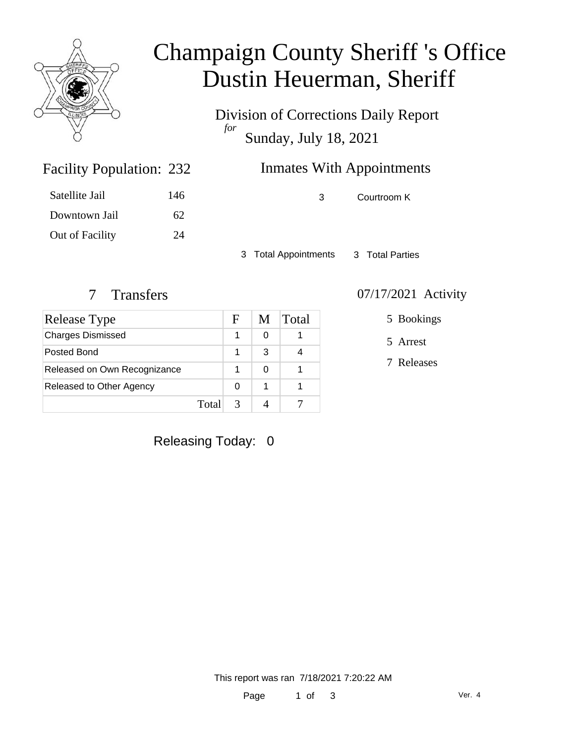

# Champaign County Sheriff 's Office Dustin Heuerman, Sheriff

Division of Corrections Daily Report *for* Sunday, July 18, 2021

| 232 | <b>Inmates With Appointments</b> |
|-----|----------------------------------|
|     |                                  |

| Satellite Jail  | 146 |
|-----------------|-----|
| Downtown Jail   | 62  |
| Out of Facility | 24  |

Facility Population: 232

3 Courtroom K

3 Total Appointments 3 Total Parties

| Release Type                 |       | F | M | Total |
|------------------------------|-------|---|---|-------|
| <b>Charges Dismissed</b>     |       |   | 0 |       |
| Posted Bond                  |       |   | З |       |
| Released on Own Recognizance |       |   | 0 |       |
| Released to Other Agency     |       | 0 |   |       |
|                              | Total |   |   |       |

### 7 Transfers 07/17/2021 Activity

5 Bookings

5 Arrest

7 Releases

Releasing Today: 0

This report was ran 7/18/2021 7:20:22 AM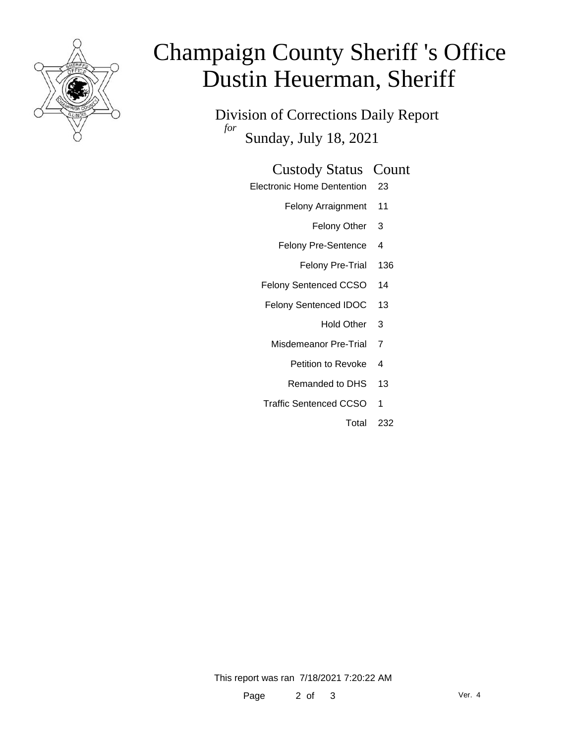

# Champaign County Sheriff 's Office Dustin Heuerman, Sheriff

Division of Corrections Daily Report *for* Sunday, July 18, 2021

#### Custody Status Count

- Electronic Home Dentention 23
	- Felony Arraignment 11
		- Felony Other 3
	- Felony Pre-Sentence 4
		- Felony Pre-Trial 136
	- Felony Sentenced CCSO 14
	- Felony Sentenced IDOC 13
		- Hold Other 3
	- Misdemeanor Pre-Trial 7
		- Petition to Revoke 4
		- Remanded to DHS 13
	- Traffic Sentenced CCSO 1
		- Total 232

This report was ran 7/18/2021 7:20:22 AM